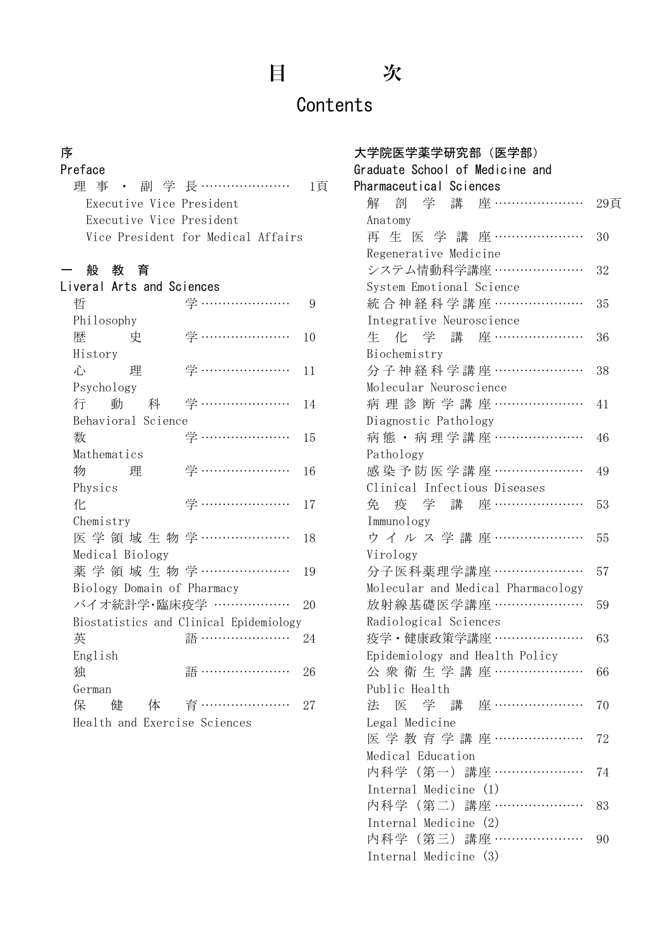# 目 次

# **Contents**

### 序

| Preface                  |                                    |    |
|--------------------------|------------------------------------|----|
|                          | 理事 ・ 副 学 長 …………………                 | 1自 |
| Executive Vice President |                                    |    |
| Executive Vice President |                                    |    |
|                          | Vice President for Medical Affairs |    |

#### 一 般 教 育

| Liveral Arts and Sciences    |                                         |    |
|------------------------------|-----------------------------------------|----|
| 哲                            | 学 …………………                               | 9  |
| Philosophy                   |                                         |    |
| 歴<br>史                       | 学 …………………                               | 10 |
| History                      |                                         |    |
| 心<br>理                       | 学 …………………                               | 11 |
| Psychology                   |                                         |    |
|                              | 行 動 科 学 …………………                         | 14 |
| Behavioral Science           |                                         |    |
| 数                            | 学 …………………                               | 15 |
| Mathematics                  |                                         |    |
| 物<br>理                       | 学 …………………                               | 16 |
| Physics                      |                                         |    |
| 化                            | 学 …………………                               | 17 |
| Chemistry                    |                                         |    |
|                              | 医学 領 域 生 物 学 …………………                    | 18 |
| Medical Biology              |                                         |    |
|                              | 薬学領域生物学 …………………                         | 19 |
| Biology Domain of Pharmacy   |                                         |    |
|                              | バイオ統計学・臨床疫学 ………………                      | 20 |
|                              | Biostatistics and Clinical Epidemiology |    |
| 英                            | 語 …………………                               | 24 |
| English                      |                                         |    |
| 独                            | 語 …………………                               | 26 |
| German                       |                                         |    |
| くら 保 しんかん しょうかん しょうかい        | 健 体 育 …………………                           | 27 |
| Health and Exercise Sciences |                                         |    |

| 大学院医学薬学研究部(医学部)                          |     |
|------------------------------------------|-----|
| Graduate School of Medicine and          |     |
| Pharmaceutical Sciences                  |     |
| - 剖 学 講 座 …………………<br>解                   | 29頁 |
| Anatomy                                  |     |
| 再生医学講座…………………                            | 30  |
| Regenerative Medicine                    |     |
| システム情動科学講座 …………………                       | 32  |
| System Emotional Science                 |     |
| 統合神経科学講座 …………………                         | 35  |
| Integrative Neuroscience                 |     |
| 化 学 講 座 …………………<br>生                     | 36  |
| Biochemistry                             |     |
| 分子神経科学講座 …………………                         | 38  |
| Molecular Neuroscience                   |     |
| 病理診断学講座…………………                           | 41  |
| Diagnostic Pathology<br>病態·病理学講座 ………………… |     |
|                                          | 46  |
| Pathology<br>感染予防医学講座 …………………            | 49  |
| Clinical Infectious Diseases             |     |
| 学 講 座 …………………<br>免<br>疫                  | 53  |
| Immunology                               |     |
| ウイルス学講座 …………………                          | 55  |
| Virology                                 |     |
| 分子医科薬理学講座 …………………                        | 57  |
| Molecular and Medical Pharmacology       |     |
| 放射線基礎医学講座 …………………                        | 59  |
| Radiological Sciences                    |     |
| 疫学・健康政策学講座 …………………                       | 63  |
| Epidemiology and Health Policy           |     |
| 公衆衛生学講座…………………                           | 66  |
| Public Health                            |     |
| 学 講 座 …………………<br>法 医                     | 70  |
| Legal Medicine                           |     |
| 医学教育学講座…………………                           | 72  |
| Medical Education                        |     |
| 内科学(第一)講座 …………………                        | 74  |
| Internal Medicine (1)                    |     |
| 内科学(第二)講座 …………………                        | 83  |
| Internal Medicine (2)                    |     |
| 内科学(第三)講座 …………………                        | 90  |
| Internal Medicine (3)                    |     |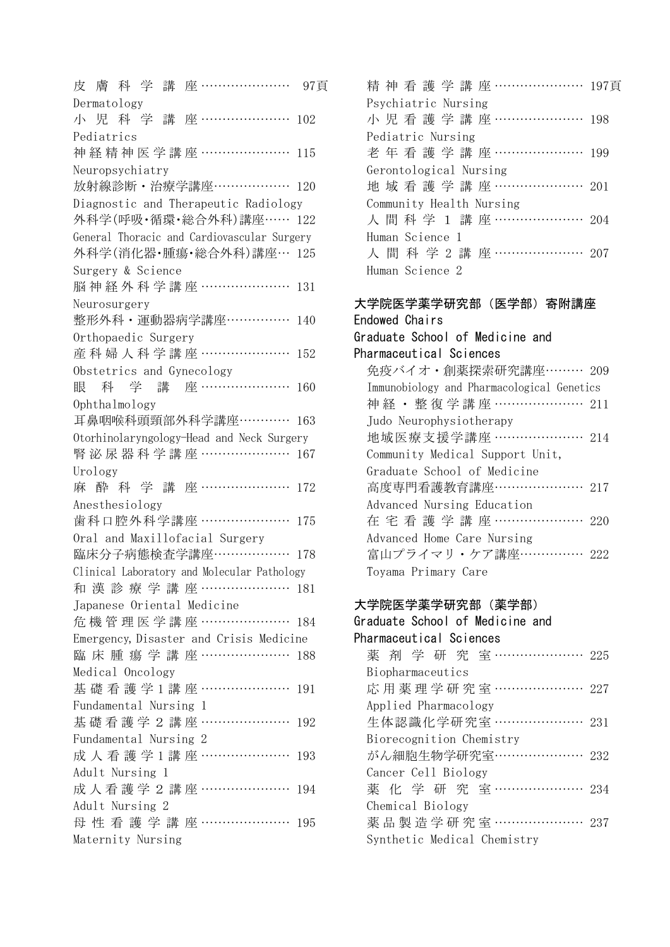皮膚科学講座 ………………… 97頁 Dermatology 小児科学講座 ………………… 102 Pediatrics 神経精神医学講座 ………………… 115 Neuropsychiatry 放射線診断・治療学講座……………… 120 Diagnostic and Therapeutic Radiology 外科学(呼吸・循環・総合外科)講座…… 122 General Thoracic and Cardiovascular Surgery 外科学(消化器・腫瘍・総合外科)講座… 125 Surgery & Science 脳神経外科学講座 ………………… 131 Neurosurgery 整形外科・運動器病学講座…………… 140 Orthopaedic Surgery 産科婦人科学講座 ………………… 152 Obstetrics and Gynecology 眼科学講座 ………………… 160 Ophthalmology 耳鼻咽喉科頭頸部外科学講座………… 163 Otorhinolaryngology-Head and Neck Surgery 腎泌尿器科学講座 ………………… 167 Urology 麻 酔 科 学 講 座 ………………… 172 Anesthesiology 歯科口腔外科学講座 ………………… 175 Oral and Maxillofacial Surgery 臨床分子病態検査学講座……………… 178 Clinical Laboratory and Molecular Pathology 和漢診療学講座 ………………… 181 Japanese Oriental Medicine 危機管理医学講座 ………………… 184 Emergency, Disaster and Crisis Medicine 臨床腫瘍学講座 ………………… 188 Medical Oncology 基礎看護学1講座 ………………… 191 Fundamental Nursing 1 基礎看護学2講座 ………………… 192 Fundamental Nursing 2 成人看護学1講座 ………………… 193 Adult Nursing 1 成人看護学2講座 ………………… 194 Adult Nursing 2 母性看護学講座 ………………… 195 Maternity Nursing

|                          |  |                 |  |                        |  |  |  |  | 精神看護学講座………………… 197頁  |
|--------------------------|--|-----------------|--|------------------------|--|--|--|--|----------------------|
|                          |  |                 |  | Psychiatric Nursing    |  |  |  |  |                      |
|                          |  |                 |  |                        |  |  |  |  | 小児看護学講座………………… 198   |
|                          |  |                 |  | Pediatric Nursing      |  |  |  |  |                      |
|                          |  |                 |  |                        |  |  |  |  | 老年看護学講座………………… 199   |
|                          |  |                 |  | Gerontological Nursing |  |  |  |  |                      |
|                          |  |                 |  |                        |  |  |  |  | 地域看護学講座………………… 201   |
| Community Health Nursing |  |                 |  |                        |  |  |  |  |                      |
|                          |  |                 |  |                        |  |  |  |  | 人間科学 1 講座………………… 204 |
|                          |  | Human Science 1 |  |                        |  |  |  |  |                      |
|                          |  |                 |  |                        |  |  |  |  | 人間科学2講座………………… 207   |
|                          |  | Human Science 2 |  |                        |  |  |  |  |                      |
|                          |  |                 |  |                        |  |  |  |  |                      |

| 大学院医学薬学研究部(医学部)寄附講座                        |
|--------------------------------------------|
| Endowed Chairs                             |
| Graduate School of Medicine and            |
| Pharmaceutical Sciences                    |
| 免疫バイオ・創薬探索研究講座……… 209                      |
| Immunobiology and Pharmacological Genetics |
| 神 経 ・ 整 復 学 講 座 ………………… 211                |
| Judo Neurophysiotherapy                    |
| 地域医療支援学講座 ………………… 214                      |
| Community Medical Support Unit,            |
| Graduate School of Medicine                |
| 高度専門看護教育講座………………… 217                      |
| Advanced Nursing Education                 |
| 在宅看護学講座………………… 220                         |
| Advanced Home Care Nursing                 |
| 富山プライマリ・ケア講座…………… 222                      |
| Toyama Primary Care                        |
|                                            |

#### 大学院医学薬学研究部(薬学部)

| Graduate School of Medicine and |  |
|---------------------------------|--|
| Pharmaceutical Sciences         |  |
| 薬剤学研究室………………… 225               |  |
| Biopharmaceutics                |  |
| 応用薬理学研究室 ………………… 227            |  |
| Applied Pharmacology            |  |
| 生体認識化学研究室 ………………… 231           |  |
| Biorecognition Chemistry        |  |
| がん細胞生物学研究室………………… 232           |  |
| Cancer Cell Biology             |  |
| 薬化学研究室……………… 234                |  |
| Chemical Biology                |  |
| 薬品製造学研究室 ………………… 237            |  |
| Synthetic Medical Chemistry     |  |
|                                 |  |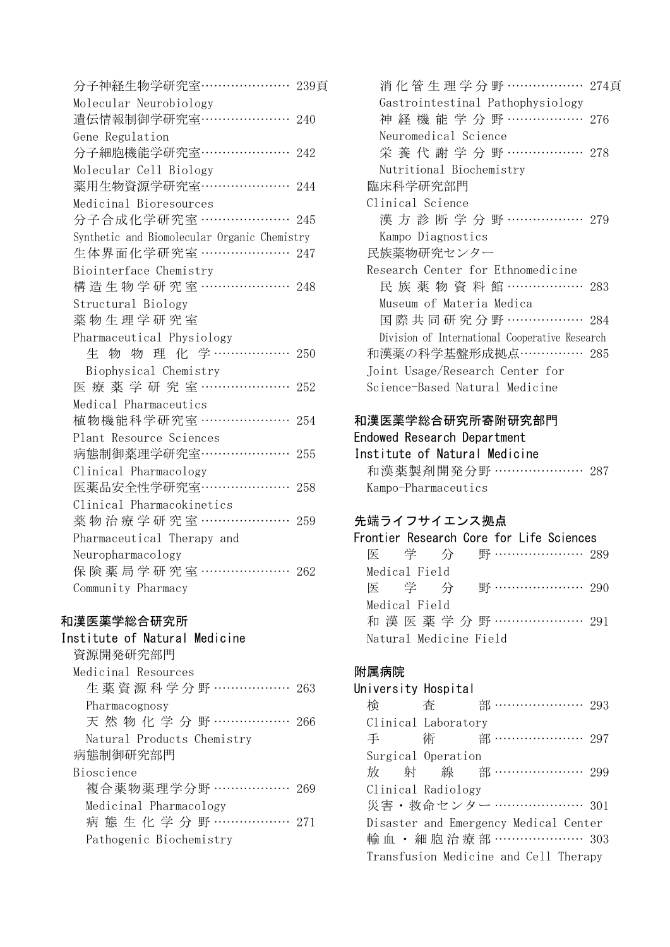| Molecular Neurobiology<br>遺伝情報制御学研究室…………………<br>Gene Regulation<br>分子細胞機能学研究室…………………<br>Molecular Cell Biology<br>薬用生物資源学研究室…………………<br>Medicinal Bioresources<br>分子合成化学研究室 …………………<br>Synthetic and Biomolecular Organic Chemistry<br>生体界面化学研究室 ………………… 247<br>Biointerface Chemistry<br>構造生物学研究室 …………………<br>Structural Biology<br>薬物生理学研究室<br>Pharmaceutical Physiology<br>生 物 物 理 化 学……………… 250<br>Biophysical Chemistry<br>医療薬学研究室…………………<br>Medical Pharmaceutics<br>植物機能科学研究室 …………………<br>Plant Resource Sciences<br>病態制御薬理学研究室…………………<br>Clinical Pharmacology<br>医薬品安全性学研究室…………………<br>Clinical Pharmacokinetics<br>薬物治療学研究室 …………………<br>Pharmaceutical Therapy and<br>Neuropharmacology<br>保険薬局学研究室………………… 262 | 分子神経生物学研究室…………………<br>239頁 |
|--------------------------------------------------------------------------------------------------------------------------------------------------------------------------------------------------------------------------------------------------------------------------------------------------------------------------------------------------------------------------------------------------------------------------------------------------------------------------------------------------------------------------------------------------------------------------------------------------------------------------------------------------------------------------------------------------------------------|---------------------------|
|                                                                                                                                                                                                                                                                                                                                                                                                                                                                                                                                                                                                                                                                                                                    |                           |
|                                                                                                                                                                                                                                                                                                                                                                                                                                                                                                                                                                                                                                                                                                                    | 240                       |
|                                                                                                                                                                                                                                                                                                                                                                                                                                                                                                                                                                                                                                                                                                                    |                           |
|                                                                                                                                                                                                                                                                                                                                                                                                                                                                                                                                                                                                                                                                                                                    | 242                       |
|                                                                                                                                                                                                                                                                                                                                                                                                                                                                                                                                                                                                                                                                                                                    |                           |
|                                                                                                                                                                                                                                                                                                                                                                                                                                                                                                                                                                                                                                                                                                                    | 244                       |
|                                                                                                                                                                                                                                                                                                                                                                                                                                                                                                                                                                                                                                                                                                                    |                           |
|                                                                                                                                                                                                                                                                                                                                                                                                                                                                                                                                                                                                                                                                                                                    | 245                       |
|                                                                                                                                                                                                                                                                                                                                                                                                                                                                                                                                                                                                                                                                                                                    |                           |
|                                                                                                                                                                                                                                                                                                                                                                                                                                                                                                                                                                                                                                                                                                                    |                           |
|                                                                                                                                                                                                                                                                                                                                                                                                                                                                                                                                                                                                                                                                                                                    |                           |
|                                                                                                                                                                                                                                                                                                                                                                                                                                                                                                                                                                                                                                                                                                                    | 248                       |
|                                                                                                                                                                                                                                                                                                                                                                                                                                                                                                                                                                                                                                                                                                                    |                           |
|                                                                                                                                                                                                                                                                                                                                                                                                                                                                                                                                                                                                                                                                                                                    |                           |
|                                                                                                                                                                                                                                                                                                                                                                                                                                                                                                                                                                                                                                                                                                                    |                           |
|                                                                                                                                                                                                                                                                                                                                                                                                                                                                                                                                                                                                                                                                                                                    |                           |
|                                                                                                                                                                                                                                                                                                                                                                                                                                                                                                                                                                                                                                                                                                                    |                           |
|                                                                                                                                                                                                                                                                                                                                                                                                                                                                                                                                                                                                                                                                                                                    | 252                       |
|                                                                                                                                                                                                                                                                                                                                                                                                                                                                                                                                                                                                                                                                                                                    |                           |
|                                                                                                                                                                                                                                                                                                                                                                                                                                                                                                                                                                                                                                                                                                                    | 254                       |
|                                                                                                                                                                                                                                                                                                                                                                                                                                                                                                                                                                                                                                                                                                                    |                           |
|                                                                                                                                                                                                                                                                                                                                                                                                                                                                                                                                                                                                                                                                                                                    | 255                       |
|                                                                                                                                                                                                                                                                                                                                                                                                                                                                                                                                                                                                                                                                                                                    |                           |
|                                                                                                                                                                                                                                                                                                                                                                                                                                                                                                                                                                                                                                                                                                                    | 258                       |
|                                                                                                                                                                                                                                                                                                                                                                                                                                                                                                                                                                                                                                                                                                                    |                           |
|                                                                                                                                                                                                                                                                                                                                                                                                                                                                                                                                                                                                                                                                                                                    | 259                       |
|                                                                                                                                                                                                                                                                                                                                                                                                                                                                                                                                                                                                                                                                                                                    |                           |
|                                                                                                                                                                                                                                                                                                                                                                                                                                                                                                                                                                                                                                                                                                                    |                           |
|                                                                                                                                                                                                                                                                                                                                                                                                                                                                                                                                                                                                                                                                                                                    |                           |
|                                                                                                                                                                                                                                                                                                                                                                                                                                                                                                                                                                                                                                                                                                                    | Community Pharmacy        |

## 和漢医薬学総合研究所

| Institute of Natural Medicine |  |
|-------------------------------|--|
| 資源開発研究部門                      |  |
| Medicinal Resources           |  |
| 生 薬 資 源 科 学 分 野 ……………… 263    |  |
| Pharmacognosy                 |  |
| 天 然 物 化 学 分 野 ……………… 266      |  |
| Natural Products Chemistry    |  |
| 病態制御研究部門                      |  |
| Bioscience                    |  |
| 複合薬物薬理学分野 ……………… 269          |  |
| Medicinal Pharmacology        |  |
| 病 態 生 化 学 分 野 ……………… 271      |  |
| Pathogenic Biochemistry       |  |
|                               |  |

| 消化管生理学分野 ……………… 274頁                           |
|------------------------------------------------|
| Gastrointestinal Pathophysiology               |
| 神 経 機 能 学 分 野 ……………… 276                       |
| Neuromedical Science                           |
| 栄 養 代 謝 学 分 野 ……………… 278                       |
| Nutritional Biochemistry                       |
| 臨床科学研究部門                                       |
| Clinical Science                               |
| 漢方診断学分野……………… 279                              |
| Kampo Diagnostics                              |
| 民族薬物研究センター                                     |
| Research Center for Ethnomedicine              |
| 民 族 薬 物 資 料 館 ……………… 283                       |
| Museum of Materia Medica                       |
| 国際共同研究分野 ……………… 284                            |
| Division of International Cooperative Research |
| 和漢薬の科学基盤形成拠点…………… 285                          |
| Joint Usage/Research Center for                |
| Science-Based Natural Medicine                 |
|                                                |

#### 和漢医薬学総合研究所寄附研究部門 Endowed Research Department

| Institute of Natural Medicine |  |
|-------------------------------|--|
| 和漢薬製剤開発分野 ………………… 287         |  |
| Kampo-Pharmaceutics           |  |

# 先端ライフサイエンス拠点

| Frontier Research Core for Life Sciences |  |  |  |                            |  |
|------------------------------------------|--|--|--|----------------------------|--|
|                                          |  |  |  | 医  学  分  野 …………………… 289    |  |
| Medical Field                            |  |  |  |                            |  |
|                                          |  |  |  | 医  学  分  野 …………………… 290    |  |
| Medical Field                            |  |  |  |                            |  |
|                                          |  |  |  | 和 漢 医 薬 学 分 野 …………………… 291 |  |
| Natural Medicine Field                   |  |  |  |                            |  |

# 附属病院

| University Hospital |                    |                                       |
|---------------------|--------------------|---------------------------------------|
| 検                   | あいじょう 香り しんじょう     | 部 …………………… 293                        |
| Clinical Laboratory |                    |                                       |
| 手                   |                    | 術 部 …………………… 297                      |
|                     | Surgical Operation |                                       |
|                     |                    | 放 射 線 部 ………………… 299                   |
| Clinical Radiology  |                    |                                       |
|                     |                    | 災害・救命センター ………………… 301                 |
|                     |                    | Disaster and Emergency Medical Center |
|                     |                    | 輸血·細胞治療部………………… 303                   |
|                     |                    | Transfusion Medicine and Cell Therapy |